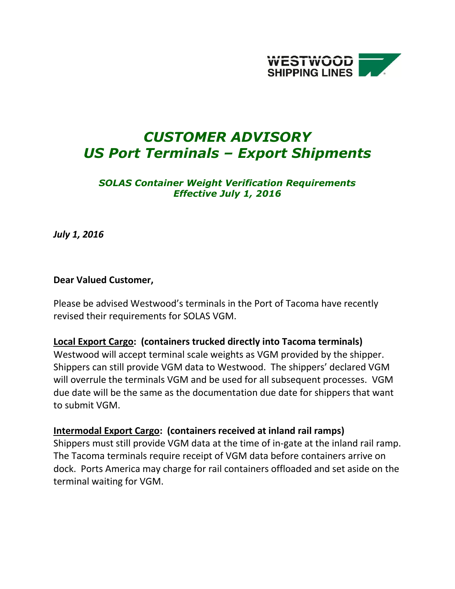

# *CUSTOMER ADVISORY US Port Terminals – Export Shipments*

#### *SOLAS Container Weight Verification Requirements Effective July 1, 2016*

*July 1, 2016*

#### **Dear Valued Customer,**

Please be advised Westwood's terminals in the Port of Tacoma have recently revised their requirements for SOLAS VGM.

#### **Local Export Cargo: (containers trucked directly into Tacoma terminals)**

Westwood will accept terminal scale weights as VGM provided by the shipper. Shippers can still provide VGM data to Westwood. The shippers' declared VGM will overrule the terminals VGM and be used for all subsequent processes. VGM due date will be the same as the documentation due date for shippers that want to submit VGM.

### **Intermodal Export Cargo: (containers received at inland rail ramps)**

Shippers must still provide VGM data at the time of in-gate at the inland rail ramp. The Tacoma terminals require receipt of VGM data before containers arrive on dock. Ports America may charge for rail containers offloaded and set aside on the terminal waiting for VGM.